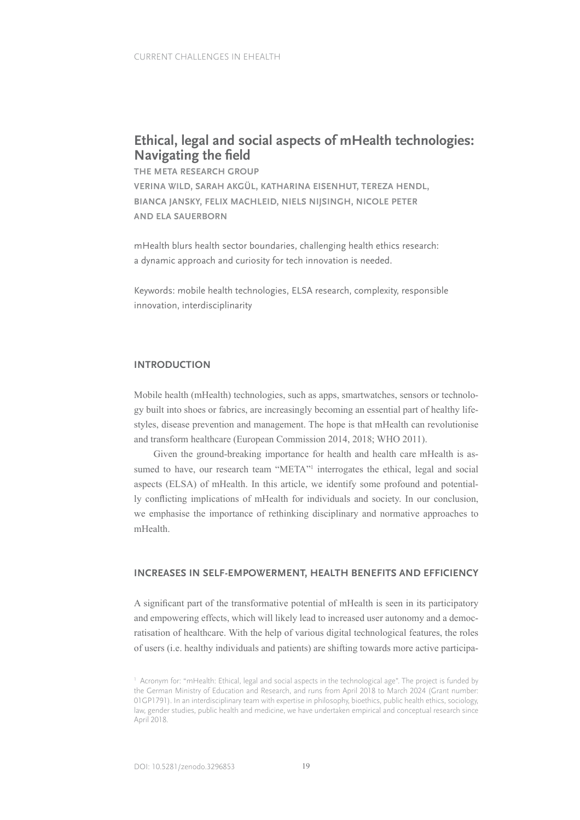# **Ethical, legal and social aspects of mHealth technologies: Navigating the feld**

**THE META RESEARCH GROUP** 

**VERINA WILD, SARAH AKGÜL, KATHARINA EISENHUT, TEREZA HENDL, BIANCA JANSKY, FELIX MACHLEID, NIELS NIJSINGH, NICOLE PETER AND ELA SAUERBORN**

mHealth blurs health sector boundaries, challenging health ethics research: a dynamic approach and curiosity for tech innovation is needed.

Keywords: mobile health technologies, ELSA research, complexity, responsible innovation, interdisciplinarity

## **INTRODUCTION**

Mobile health (mHealth) technologies, such as apps, smartwatches, sensors or technology built into shoes or fabrics, are increasingly becoming an essential part of healthy lifestyles, disease prevention and management. The hope is that mHealth can revolutionise and transform healthcare (European Commission 2014, 2018; WHO 2011).

Given the ground-breaking importance for health and health care mHealth is assumed to have, our research team "META"<sup>1</sup> interrogates the ethical, legal and social aspects (ELSA) of mHealth. In this article, we identify some profound and potentially conficting implications of mHealth for individuals and society. In our conclusion, we emphasise the importance of rethinking disciplinary and normative approaches to mHealth.

## **INCREASES IN SELF-EMPOWERMENT, HEALTH BENEFITS AND EFFICIENCY**

A signifcant part of the transformative potential of mHealth is seen in its participatory and empowering effects, which will likely lead to increased user autonomy and a democratisation of healthcare. With the help of various digital technological features, the roles of users (i.e. healthy individuals and patients) are shifting towards more active participa-

<sup>&</sup>lt;sup>1</sup> Acronym for: "mHealth: Ethical, legal and social aspects in the technological age". The project is funded by the German Ministry of Education and Research, and runs from April 2018 to March 2024 (Grant number: 01GP1791). In an interdisciplinary team with expertise in philosophy, bioethics, public health ethics, sociology, law, gender studies, public health and medicine, we have undertaken empirical and conceptual research since April 2018.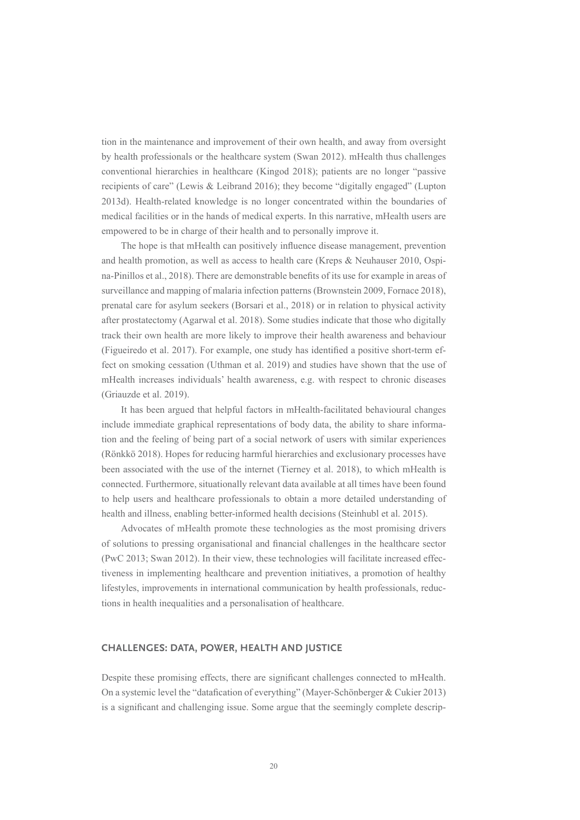tion in the maintenance and improvement of their own health, and away from oversight by health professionals or the healthcare system (Swan 2012). mHealth thus challenges conventional hierarchies in healthcare (Kingod 2018); patients are no longer "passive recipients of care" (Lewis & Leibrand 2016); they become "digitally engaged" (Lupton 2013d). Health-related knowledge is no longer concentrated within the boundaries of medical facilities or in the hands of medical experts. In this narrative, mHealth users are empowered to be in charge of their health and to personally improve it.

The hope is that mHealth can positively infuence disease management, prevention and health promotion, as well as access to health care (Kreps & Neuhauser 2010, Ospina-Pinillos et al., 2018). There are demonstrable benefts of its use for example in areas of surveillance and mapping of malaria infection patterns (Brownstein 2009, Fornace 2018), prenatal care for asylum seekers (Borsari et al., 2018) or in relation to physical activity after prostatectomy (Agarwal et al. 2018). Some studies indicate that those who digitally track their own health are more likely to improve their health awareness and behaviour (Figueiredo et al. 2017). For example, one study has identifed a positive short-term effect on smoking cessation (Uthman et al. 2019) and studies have shown that the use of mHealth increases individuals' health awareness, e.g. with respect to chronic diseases (Griauzde et al. 2019).

It has been argued that helpful factors in mHealth-facilitated behavioural changes include immediate graphical representations of body data, the ability to share information and the feeling of being part of a social network of users with similar experiences (Rönkkö 2018). Hopes for reducing harmful hierarchies and exclusionary processes have been associated with the use of the internet (Tierney et al. 2018), to which mHealth is connected. Furthermore, situationally relevant data available at all times have been found to help users and healthcare professionals to obtain a more detailed understanding of health and illness, enabling better-informed health decisions (Steinhubl et al. 2015).

Advocates of mHealth promote these technologies as the most promising drivers of solutions to pressing organisational and fnancial challenges in the healthcare sector (PwC 2013; Swan 2012). In their view, these technologies will facilitate increased effectiveness in implementing healthcare and prevention initiatives, a promotion of healthy lifestyles, improvements in international communication by health professionals, reductions in health inequalities and a personalisation of healthcare.

## **CHALLENGES: DATA, POWER, HEALTH AND JUSTICE**

Despite these promising effects, there are signifcant challenges connected to mHealth. On a systemic level the "datafcation of everything" (Mayer-Schönberger & Cukier 2013) is a signifcant and challenging issue. Some argue that the seemingly complete descrip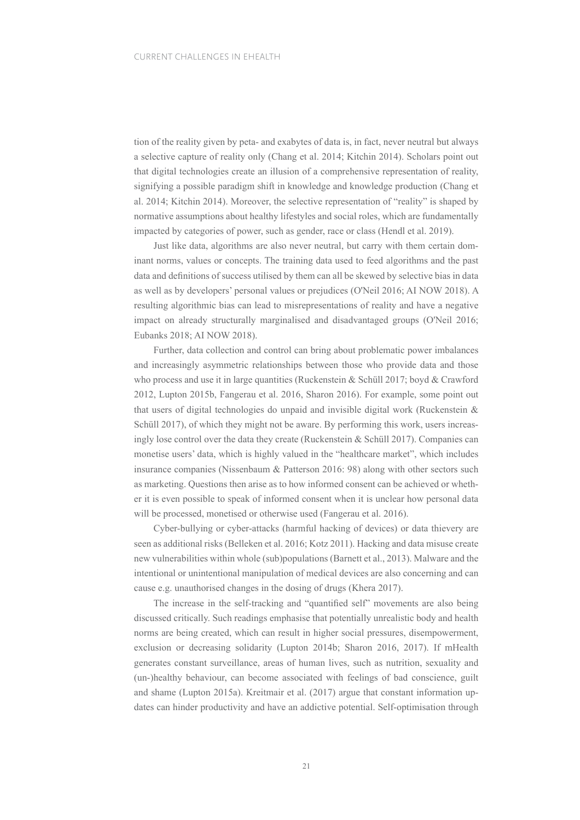tion of the reality given by peta- and exabytes of data is, in fact, never neutral but always a selective capture of reality only (Chang et al. 2014; Kitchin 2014). Scholars point out that digital technologies create an illusion of a comprehensive representation of reality, signifying a possible paradigm shift in knowledge and knowledge production (Chang et al. 2014; Kitchin 2014). Moreover, the selective representation of "reality" is shaped by normative assumptions about healthy lifestyles and social roles, which are fundamentally impacted by categories of power, such as gender, race or class (Hendl et al. 2019).

Just like data, algorithms are also never neutral, but carry with them certain dominant norms, values or concepts. The training data used to feed algorithms and the past data and defnitions of success utilised by them can all be skewed by selective bias in data as well as by developers' personal values or prejudices (O'Neil 2016; AI NOW 2018). A resulting algorithmic bias can lead to misrepresentations of reality and have a negative impact on already structurally marginalised and disadvantaged groups (O'Neil 2016; Eubanks 2018; AI NOW 2018).

Further, data collection and control can bring about problematic power imbalances and increasingly asymmetric relationships between those who provide data and those who process and use it in large quantities (Ruckenstein & Schüll 2017; boyd & Crawford 2012, Lupton 2015b, Fangerau et al. 2016, Sharon 2016). For example, some point out that users of digital technologies do unpaid and invisible digital work (Ruckenstein & Schüll 2017), of which they might not be aware. By performing this work, users increasingly lose control over the data they create (Ruckenstein & Schüll 2017). Companies can monetise users' data, which is highly valued in the "healthcare market", which includes insurance companies (Nissenbaum & Patterson 2016: 98) along with other sectors such as marketing. Questions then arise as to how informed consent can be achieved or whether it is even possible to speak of informed consent when it is unclear how personal data will be processed, monetised or otherwise used (Fangerau et al. 2016).

Cyber-bullying or cyber-attacks (harmful hacking of devices) or data thievery are seen as additional risks (Belleken et al. 2016; Kotz 2011). Hacking and data misuse create new vulnerabilities within whole (sub)populations (Barnett et al., 2013). Malware and the intentional or unintentional manipulation of medical devices are also concerning and can cause e.g. unauthorised changes in the dosing of drugs (Khera 2017).

The increase in the self-tracking and "quantifed self" movements are also being discussed critically. Such readings emphasise that potentially unrealistic body and health norms are being created, which can result in higher social pressures, disempowerment, exclusion or decreasing solidarity (Lupton 2014b; Sharon 2016, 2017). If mHealth generates constant surveillance, areas of human lives, such as nutrition, sexuality and (un-)healthy behaviour, can become associated with feelings of bad conscience, guilt and shame (Lupton 2015a). Kreitmair et al. (2017) argue that constant information updates can hinder productivity and have an addictive potential. Self-optimisation through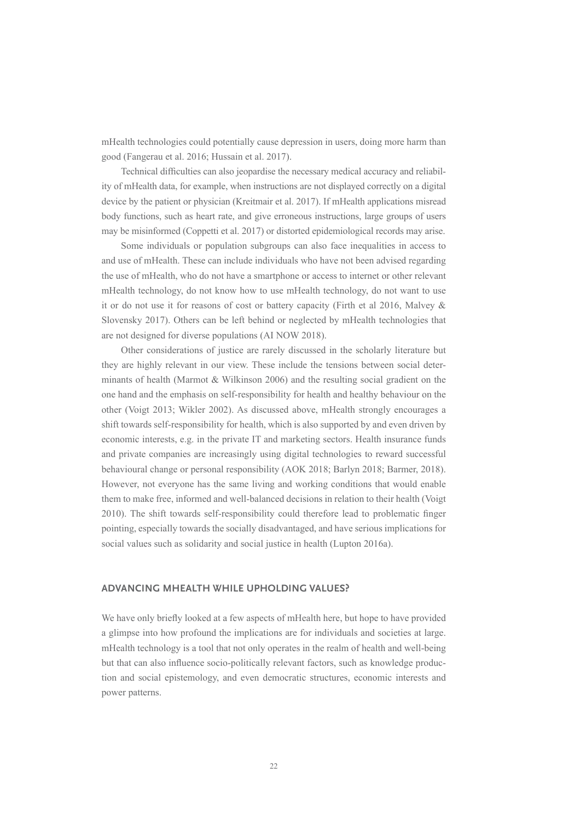mHealth technologies could potentially cause depression in users, doing more harm than good (Fangerau et al. 2016; Hussain et al. 2017).

Technical diffculties can also jeopardise the necessary medical accuracy and reliability of mHealth data, for example, when instructions are not displayed correctly on a digital device by the patient or physician (Kreitmair et al. 2017). If mHealth applications misread body functions, such as heart rate, and give erroneous instructions, large groups of users may be misinformed (Coppetti et al. 2017) or distorted epidemiological records may arise.

Some individuals or population subgroups can also face inequalities in access to and use of mHealth. These can include individuals who have not been advised regarding the use of mHealth, who do not have a smartphone or access to internet or other relevant mHealth technology, do not know how to use mHealth technology, do not want to use it or do not use it for reasons of cost or battery capacity (Firth et al 2016, Malvey & Slovensky 2017). Others can be left behind or neglected by mHealth technologies that are not designed for diverse populations (AI NOW 2018).

Other considerations of justice are rarely discussed in the scholarly literature but they are highly relevant in our view. These include the tensions between social determinants of health (Marmot & Wilkinson 2006) and the resulting social gradient on the one hand and the emphasis on self-responsibility for health and healthy behaviour on the other (Voigt 2013; Wikler 2002). As discussed above, mHealth strongly encourages a shift towards self-responsibility for health, which is also supported by and even driven by economic interests, e.g. in the private IT and marketing sectors. Health insurance funds and private companies are increasingly using digital technologies to reward successful behavioural change or personal responsibility (AOK 2018; Barlyn 2018; Barmer, 2018). However, not everyone has the same living and working conditions that would enable them to make free, informed and well-balanced decisions in relation to their health (Voigt 2010). The shift towards self-responsibility could therefore lead to problematic fnger pointing, especially towards the socially disadvantaged, and have serious implications for social values such as solidarity and social justice in health (Lupton 2016a).

## **ADVANCING MHEALTH WHILE UPHOLDING VALUES?**

We have only briefy looked at a few aspects of mHealth here, but hope to have provided a glimpse into how profound the implications are for individuals and societies at large. mHealth technology is a tool that not only operates in the realm of health and well-being but that can also infuence socio-politically relevant factors, such as knowledge production and social epistemology, and even democratic structures, economic interests and power patterns.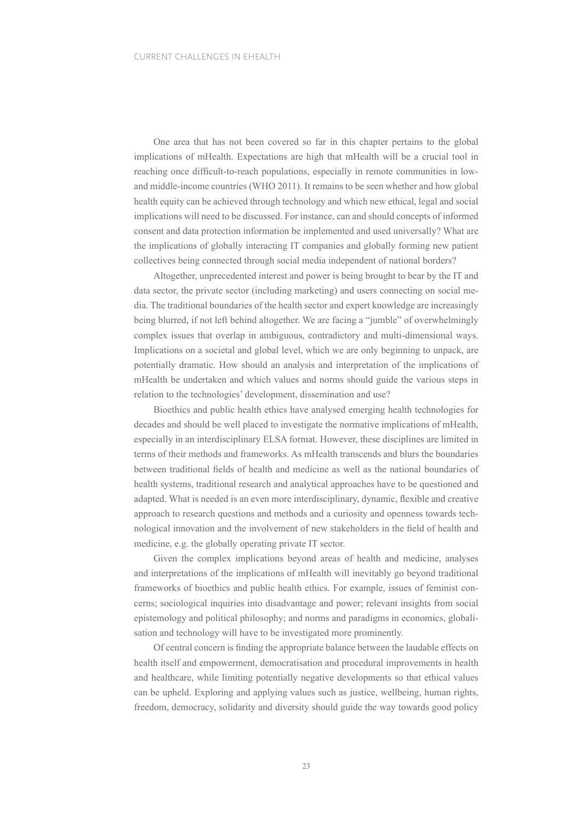One area that has not been covered so far in this chapter pertains to the global implications of mHealth. Expectations are high that mHealth will be a crucial tool in reaching once diffcult-to-reach populations, especially in remote communities in lowand middle-income countries (WHO 2011). It remains to be seen whether and how global health equity can be achieved through technology and which new ethical, legal and social implications will need to be discussed. For instance, can and should concepts of informed consent and data protection information be implemented and used universally? What are the implications of globally interacting IT companies and globally forming new patient collectives being connected through social media independent of national borders?

Altogether, unprecedented interest and power is being brought to bear by the IT and data sector, the private sector (including marketing) and users connecting on social media. The traditional boundaries of the health sector and expert knowledge are increasingly being blurred, if not left behind altogether. We are facing a "jumble" of overwhelmingly complex issues that overlap in ambiguous, contradictory and multi-dimensional ways. Implications on a societal and global level, which we are only beginning to unpack, are potentially dramatic. How should an analysis and interpretation of the implications of mHealth be undertaken and which values and norms should guide the various steps in relation to the technologies' development, dissemination and use?

Bioethics and public health ethics have analysed emerging health technologies for decades and should be well placed to investigate the normative implications of mHealth, especially in an interdisciplinary ELSA format. However, these disciplines are limited in terms of their methods and frameworks. As mHealth transcends and blurs the boundaries between traditional felds of health and medicine as well as the national boundaries of health systems, traditional research and analytical approaches have to be questioned and adapted. What is needed is an even more interdisciplinary, dynamic, fexible and creative approach to research questions and methods and a curiosity and openness towards technological innovation and the involvement of new stakeholders in the feld of health and medicine, e.g. the globally operating private IT sector.

Given the complex implications beyond areas of health and medicine, analyses and interpretations of the implications of mHealth will inevitably go beyond traditional frameworks of bioethics and public health ethics. For example, issues of feminist concerns; sociological inquiries into disadvantage and power; relevant insights from social epistemology and political philosophy; and norms and paradigms in economics, globalisation and technology will have to be investigated more prominently.

Of central concern is fnding the appropriate balance between the laudable effects on health itself and empowerment, democratisation and procedural improvements in health and healthcare, while limiting potentially negative developments so that ethical values can be upheld. Exploring and applying values such as justice, wellbeing, human rights, freedom, democracy, solidarity and diversity should guide the way towards good policy

23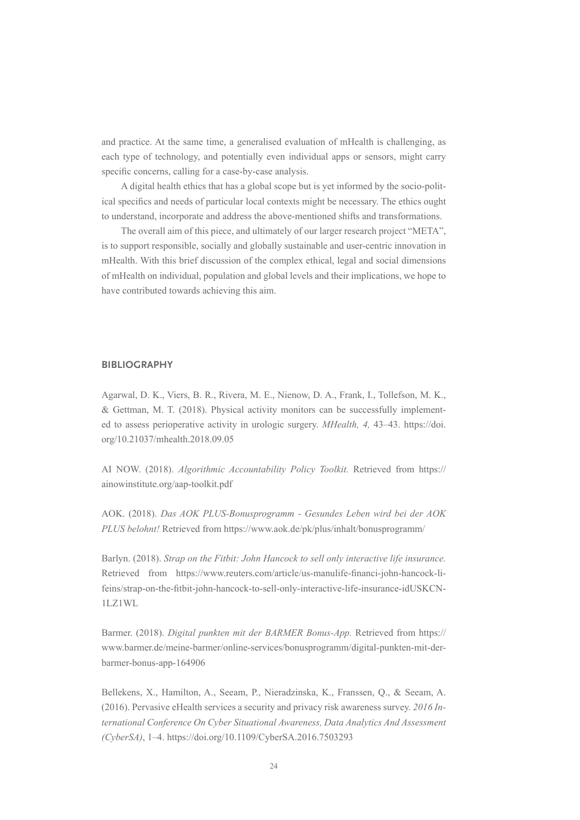and practice. At the same time, a generalised evaluation of mHealth is challenging, as each type of technology, and potentially even individual apps or sensors, might carry specifc concerns, calling for a case-by-case analysis.

A digital health ethics that has a global scope but is yet informed by the socio-political specifcs and needs of particular local contexts might be necessary. The ethics ought to understand, incorporate and address the above-mentioned shifts and transformations.

The overall aim of this piece, and ultimately of our larger research project "META", is to support responsible, socially and globally sustainable and user-centric innovation in mHealth. With this brief discussion of the complex ethical, legal and social dimensions of mHealth on individual, population and global levels and their implications, we hope to have contributed towards achieving this aim.

## **BIBLIOGRAPHY**

Agarwal, D. K., Viers, B. R., Rivera, M. E., Nienow, D. A., Frank, I., Tollefson, M. K., & Gettman, M. T. (2018). Physical activity monitors can be successfully implemented to assess perioperative activity in urologic surgery. *MHealth, 4,* 43–43. https://doi. org/10.21037/mhealth.2018.09.05

AI NOW. (2018). *Algorithmic Accountability Policy Toolkit.* Retrieved from https:// ainowinstitute.org/aap-toolkit.pdf

AOK. (2018). *Das AOK PLUS-Bonusprogramm - Gesundes Leben wird bei der AOK PLUS belohnt!* Retrieved from https://www.aok.de/pk/plus/inhalt/bonusprogramm/

Barlyn. (2018). *Strap on the Fitbit: John Hancock to sell only interactive life insurance.* Retrieved from https://www.reuters.com/article/us-manulife-fnanci-john-hancock-lifeins/strap-on-the-ftbit-john-hancock-to-sell-only-interactive-life-insurance-idUSKCN-1LZ1WL

Barmer. (2018). *Digital punkten mit der BARMER Bonus-App.* Retrieved from https:// www.barmer.de/meine-barmer/online-services/bonusprogramm/digital-punkten-mit-derbarmer-bonus-app-164906

Bellekens, X., Hamilton, A., Seeam, P., Nieradzinska, K., Franssen, Q., & Seeam, A. (2016). Pervasive eHealth services a security and privacy risk awareness survey. *2016 International Conference On Cyber Situational Awareness, Data Analytics And Assessment (CyberSA)*, 1–4. https://doi.org/10.1109/CyberSA.2016.7503293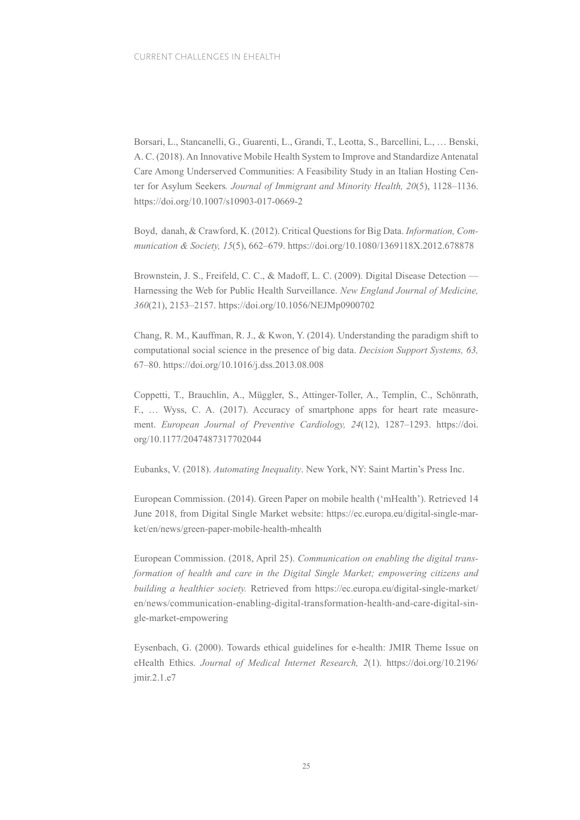Borsari, L., Stancanelli, G., Guarenti, L., Grandi, T., Leotta, S., Barcellini, L., … Benski, A. C. (2018). An Innovative Mobile Health System to Improve and Standardize Antenatal Care Among Underserved Communities: A Feasibility Study in an Italian Hosting Center for Asylum Seekers*. Journal of Immigrant and Minority Health, 20*(5), 1128–1136. https://doi.org/10.1007/s10903-017-0669-2

Boyd, danah, & Crawford, K. (2012). Critical Questions for Big Data. *Information, Communication & Society, 15*(5), 662–679. https://doi.org/10.1080/1369118X.2012.678878

Brownstein, J. S., Freifeld, C. C., & Madoff, L. C. (2009). Digital Disease Detection — Harnessing the Web for Public Health Surveillance. *New England Journal of Medicine, 360*(21), 2153–2157. https://doi.org/10.1056/NEJMp0900702

Chang, R. M., Kauffman, R. J., & Kwon, Y. (2014). Understanding the paradigm shift to computational social science in the presence of big data. *Decision Support Systems, 63,* 67–80. https://doi.org/10.1016/j.dss.2013.08.008

Coppetti, T., Brauchlin, A., Müggler, S., Attinger-Toller, A., Templin, C., Schönrath, F., … Wyss, C. A. (2017). Accuracy of smartphone apps for heart rate measurement. *European Journal of Preventive Cardiology, 24*(12), 1287–1293. https://doi. org/10.1177/2047487317702044

Eubanks, V. (2018). *Automating Inequality*. New York, NY: Saint Martin's Press Inc.

European Commission. (2014). Green Paper on mobile health ('mHealth'). Retrieved 14 June 2018, from Digital Single Market website: https://ec.europa.eu/digital-single-market/en/news/green-paper-mobile-health-mhealth

European Commission. (2018, April 25). *Communication on enabling the digital transformation of health and care in the Digital Single Market; empowering citizens and building a healthier society.* Retrieved from https://ec.europa.eu/digital-single-market/ en/news/communication-enabling-digital-transformation-health-and-care-digital-single-market-empowering

Eysenbach, G. (2000). Towards ethical guidelines for e-health: JMIR Theme Issue on eHealth Ethics. *Journal of Medical Internet Research, 2*(1). https://doi.org/10.2196/ jmir.2.1.e7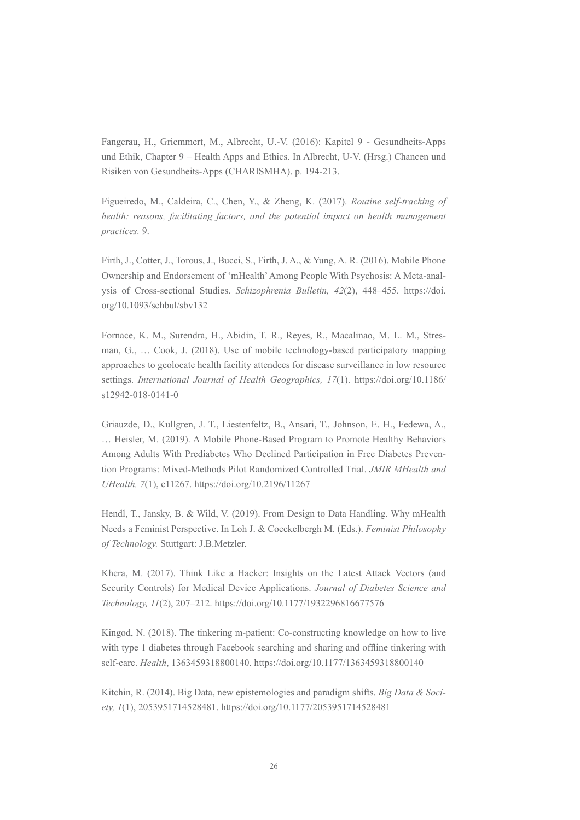Fangerau, H., Griemmert, M., Albrecht, U.-V. (2016): Kapitel 9 - Gesundheits-Apps und Ethik, Chapter 9 – Health Apps and Ethics. In Albrecht, U-V. (Hrsg.) Chancen und Risiken von Gesundheits-Apps (CHARISMHA). p. 194-213.

Figueiredo, M., Caldeira, C., Chen, Y., & Zheng, K. (2017). *Routine self-tracking of health: reasons, facilitating factors, and the potential impact on health management practices.* 9.

Firth, J., Cotter, J., Torous, J., Bucci, S., Firth, J. A., & Yung, A. R. (2016). Mobile Phone Ownership and Endorsement of 'mHealth' Among People With Psychosis: A Meta-analysis of Cross-sectional Studies. *Schizophrenia Bulletin, 42*(2), 448–455. https://doi. org/10.1093/schbul/sbv132

Fornace, K. M., Surendra, H., Abidin, T. R., Reyes, R., Macalinao, M. L. M., Stresman, G., … Cook, J. (2018). Use of mobile technology-based participatory mapping approaches to geolocate health facility attendees for disease surveillance in low resource settings. *International Journal of Health Geographics, 17*(1). https://doi.org/10.1186/ s12942-018-0141-0

Griauzde, D., Kullgren, J. T., Liestenfeltz, B., Ansari, T., Johnson, E. H., Fedewa, A., … Heisler, M. (2019). A Mobile Phone-Based Program to Promote Healthy Behaviors Among Adults With Prediabetes Who Declined Participation in Free Diabetes Prevention Programs: Mixed-Methods Pilot Randomized Controlled Trial. *JMIR MHealth and UHealth, 7*(1), e11267. https://doi.org/10.2196/11267

Hendl, T., Jansky, B. & Wild, V. (2019). From Design to Data Handling. Why mHealth Needs a Feminist Perspective. In Loh J. & Coeckelbergh M. (Eds.). *Feminist Philosophy of Technology.* Stuttgart: J.B.Metzler.

Khera, M. (2017). Think Like a Hacker: Insights on the Latest Attack Vectors (and Security Controls) for Medical Device Applications. *Journal of Diabetes Science and Technology, 11*(2), 207–212. https://doi.org/10.1177/1932296816677576

Kingod, N. (2018). The tinkering m-patient: Co-constructing knowledge on how to live with type 1 diabetes through Facebook searching and sharing and offine tinkering with self-care. *Health*, 1363459318800140. https://doi.org/10.1177/1363459318800140

Kitchin, R. (2014). Big Data, new epistemologies and paradigm shifts. *Big Data & Society, 1*(1), 2053951714528481. https://doi.org/10.1177/2053951714528481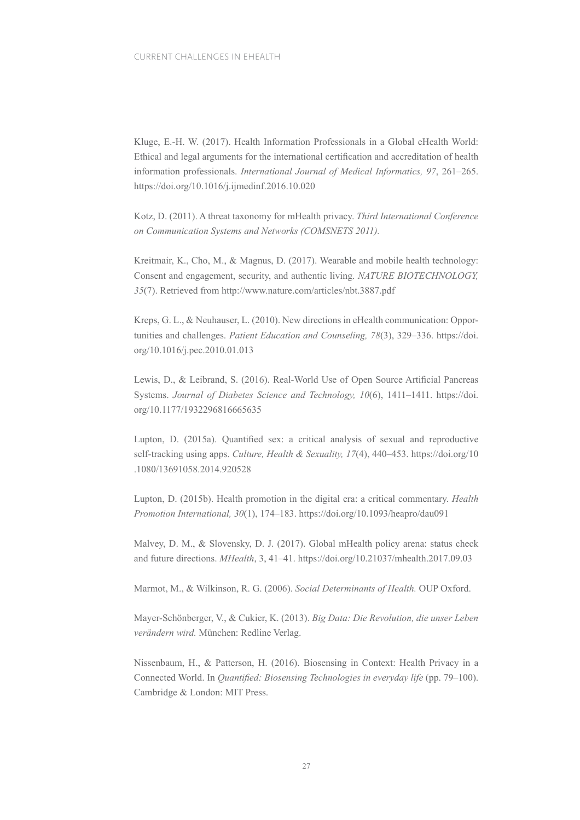Kluge, E.-H. W. (2017). Health Information Professionals in a Global eHealth World: Ethical and legal arguments for the international certifcation and accreditation of health information professionals. *International Journal of Medical Informatics, 97*, 261–265. https://doi.org/10.1016/j.ijmedinf.2016.10.020

Kotz, D. (2011). A threat taxonomy for mHealth privacy. *Third International Conference on Communication Systems and Networks (COMSNETS 2011).*

Kreitmair, K., Cho, M., & Magnus, D. (2017). Wearable and mobile health technology: Consent and engagement, security, and authentic living. *NATURE BIOTECHNOLOGY, 35*(7). Retrieved from http://www.nature.com/articles/nbt.3887.pdf

Kreps, G. L., & Neuhauser, L. (2010). New directions in eHealth communication: Opportunities and challenges. *Patient Education and Counseling, 78*(3), 329–336. https://doi. org/10.1016/j.pec.2010.01.013

Lewis, D., & Leibrand, S. (2016). Real-World Use of Open Source Artifcial Pancreas Systems. *Journal of Diabetes Science and Technology, 10*(6), 1411–1411. https://doi. org/10.1177/1932296816665635

Lupton, D. (2015a). Quantifed sex: a critical analysis of sexual and reproductive self-tracking using apps. *Culture, Health & Sexuality, 17*(4), 440–453. https://doi.org/10 .1080/13691058.2014.920528

Lupton, D. (2015b). Health promotion in the digital era: a critical commentary. *Health Promotion International, 30*(1), 174–183. https://doi.org/10.1093/heapro/dau091

Malvey, D. M., & Slovensky, D. J. (2017). Global mHealth policy arena: status check and future directions. *MHealth*, 3, 41–41. https://doi.org/10.21037/mhealth.2017.09.03

Marmot, M., & Wilkinson, R. G. (2006). *Social Determinants of Health.* OUP Oxford.

Mayer-Schönberger, V., & Cukier, K. (2013). *Big Data: Die Revolution, die unser Leben verändern wird.* München: Redline Verlag.

Nissenbaum, H., & Patterson, H. (2016). Biosensing in Context: Health Privacy in a Connected World. In *Quantifed: Biosensing Technologies in everyday life* (pp. 79–100). Cambridge & London: MIT Press.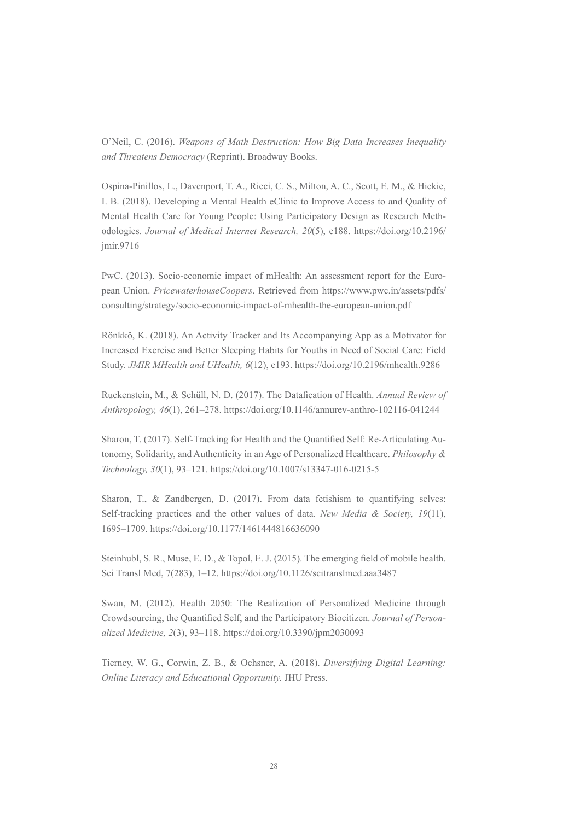O'Neil, C. (2016). *Weapons of Math Destruction: How Big Data Increases Inequality and Threatens Democracy* (Reprint). Broadway Books.

Ospina-Pinillos, L., Davenport, T. A., Ricci, C. S., Milton, A. C., Scott, E. M., & Hickie, I. B. (2018). Developing a Mental Health eClinic to Improve Access to and Quality of Mental Health Care for Young People: Using Participatory Design as Research Methodologies. *Journal of Medical Internet Research, 20*(5), e188. https://doi.org/10.2196/ jmir.9716

PwC. (2013). Socio-economic impact of mHealth: An assessment report for the European Union. *PricewaterhouseCoopers*. Retrieved from https://www.pwc.in/assets/pdfs/ consulting/strategy/socio-economic-impact-of-mhealth-the-european-union.pdf

Rönkkö, K. (2018). An Activity Tracker and Its Accompanying App as a Motivator for Increased Exercise and Better Sleeping Habits for Youths in Need of Social Care: Field Study. *JMIR MHealth and UHealth, 6*(12), e193. https://doi.org/10.2196/mhealth.9286

Ruckenstein, M., & Schüll, N. D. (2017). The Datafcation of Health. *Annual Review of Anthropology, 46*(1), 261–278. https://doi.org/10.1146/annurev-anthro-102116-041244

Sharon, T. (2017). Self-Tracking for Health and the Quantifed Self: Re-Articulating Autonomy, Solidarity, and Authenticity in an Age of Personalized Healthcare. *Philosophy & Technology, 30*(1), 93–121. https://doi.org/10.1007/s13347-016-0215-5

Sharon, T., & Zandbergen, D. (2017). From data fetishism to quantifying selves: Self-tracking practices and the other values of data. *New Media & Society, 19*(11), 1695–1709. https://doi.org/10.1177/1461444816636090

Steinhubl, S. R., Muse, E. D., & Topol, E. J. (2015). The emerging feld of mobile health. Sci Transl Med, 7(283), 1–12. https://doi.org/10.1126/scitranslmed.aaa3487

Swan, M. (2012). Health 2050: The Realization of Personalized Medicine through Crowdsourcing, the Quantifed Self, and the Participatory Biocitizen. *Journal of Personalized Medicine, 2*(3), 93–118. https://doi.org/10.3390/jpm2030093

Tierney, W. G., Corwin, Z. B., & Ochsner, A. (2018). *Diversifying Digital Learning: Online Literacy and Educational Opportunity.* JHU Press.